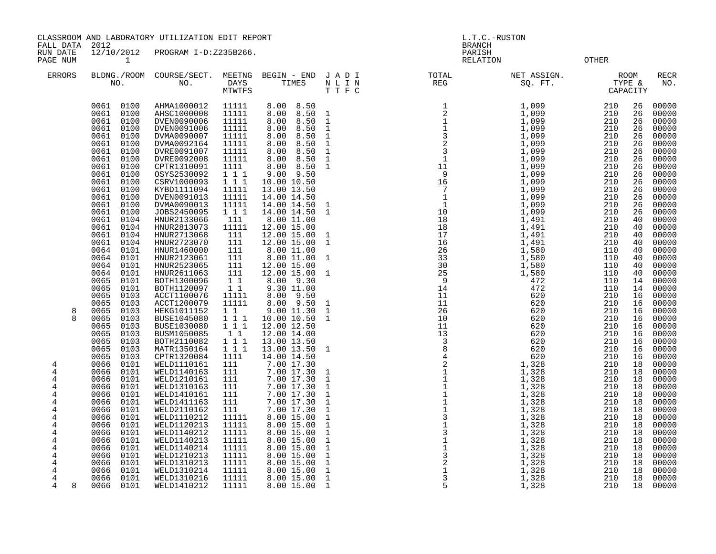CLASSROOM AND LABORATORY UTILIZATION EDIT REPORT AND REPORT STATES OF REPORT THAT AND L.T.C.-RUSTON

FALL DATA 2012 BRANCH

RUN DATE 12/10/2012 PROGRAM I-D:Z235B266.<br>PAGE NUM 1 PAGE NUM 1 CHARGE 1999 CONTROL 2018 CONTROL 2018 CONTROL 2018

| <b>ERRORS</b>       |              | NO.          | BLDNG./ROOM COURSE/SECT.<br>NO. | MEETNG<br>DAYS<br>MTWTFS | BEGIN - END<br>TIMES       | JADI<br>N L I N<br>TTFC      | TOTAL<br>$\mathop{\mathrm{REG}}$ | NET ASSIGN.<br>SQ. FT. |            | <b>ROOM</b><br>TYPE &<br>CAPACITY | RECR<br>NO.    |
|---------------------|--------------|--------------|---------------------------------|--------------------------|----------------------------|------------------------------|----------------------------------|------------------------|------------|-----------------------------------|----------------|
|                     |              | 0061 0100    | AHMA1000012                     | 11111                    | 8.00 8.50                  |                              |                                  | 1,099                  | 210        | 26                                | 00000          |
|                     | 0061         | 0100         | AHSC1000008                     | 11111                    | 8.00<br>8.50               | $\mathbf{1}$                 |                                  | 1,099                  | 210        | 26                                | 00000          |
|                     | 0061         | 0100         | DVEN0090006                     | 11111                    | 8.00<br>8.50               | $\mathbf{1}$                 |                                  | 1,099                  | 210        | 26                                | 00000          |
|                     | 0061         | 0100         | DVEN0091006                     | 11111                    | 8.50<br>8.00               | $\mathbf{1}$                 |                                  | 1,099                  | 210        | 26                                | 00000          |
|                     | 0061         | 0100         | DVMA0090007                     | 11111                    | 8.00<br>8.50               | $\mathbf{1}$                 |                                  | 1,099                  | 210        | 26                                | 00000          |
|                     | 0061         | 0100         | DVMA0092164                     | 11111                    | 8.00<br>8.50               | $\mathbf{1}$                 |                                  | 1,099                  | 210        | 26                                | 00000          |
|                     | 0061         | 0100         | DVRE0091007                     | 11111                    | 8.50<br>8.00               | $\mathbf{1}$                 |                                  | 1,099                  | 210        | 26                                | 00000          |
|                     | 0061         | 0100         | DVRE0092008                     | 11111                    | 8.00<br>8.50               | $\mathbf{1}$                 |                                  | 1,099                  | 210        | 26                                | 00000          |
|                     | 0061         | 0100         | CPTR1310091                     | 1111                     | 8.00<br>8.50               | $\mathbf{1}$                 |                                  | 1,099                  | 210        | 26                                | 00000          |
|                     | 0061         | 0100         | OSYS2530092                     | 111                      | 9.00 9.50                  |                              |                                  | 1,099                  | 210        | 26                                | 00000          |
|                     | 0061         | 0100         | CSRV1000093                     | 111                      | 10.00 10.50                |                              |                                  | 1,099                  | 210<br>210 | 26                                | 00000          |
|                     | 0061         | 0100         | KYBD1111094                     | 11111                    | 13.00 13.50                |                              |                                  | 1,099                  |            | 26                                | 00000          |
|                     | 0061<br>0061 | 0100<br>0100 | DVEN0091013<br>DVMA0090013      | 11111<br>11111           | 14.00 14.50<br>14.00 14.50 |                              |                                  | 1,099<br>1,099         | 210<br>210 | 26<br>26                          | 00000<br>00000 |
|                     | 0061         | 0100         | JOBS2450095                     | 111                      | 14.00 14.50                | 1<br>1                       |                                  | 1,099                  | 210        | 26                                | 00000          |
|                     | 0061         | 0104         | HNUR2133066                     | 111                      | 8.00 11.00                 |                              |                                  | 1,491                  | 210        | 40                                | 00000          |
|                     | 0061         | 0104         | HNUR2813073                     | 11111                    | 12.00 15.00                |                              |                                  | 1,491                  | 210        | 40                                | 00000          |
|                     | 0061         | 0104         | HNUR2713068                     | 111                      | 12.00 15.00                |                              |                                  | 1,491                  | 210        | 40                                | 00000          |
|                     | 0061         | 0104         | HNUR2723070                     | 111                      | 12.00 15.00                | 1<br>$\mathbf{1}$            |                                  | 1,491                  | 210        | 40                                | 00000          |
|                     | 0064         | 0101         | HNUR1460000                     | 111                      | 8.00 11.00                 |                              |                                  | 1,580                  | 110        | 40                                | 00000          |
|                     | 0064         | 0101         | HNUR2123061                     | 111                      | 8.00 11.00                 | $\mathbf{1}$                 |                                  | 1,580                  | 110        | 40                                | 00000          |
|                     | 0064         | 0101         | HNUR2523065                     | 111                      | 12.00 15.00                |                              |                                  | 1,580                  | 110        | 40                                | 00000          |
|                     | 0064         | 0101         | HNUR2611063                     | 111                      | 12.00 15.00                | $\mathbf{1}$                 |                                  | 1,580                  | 110        | 40                                | 00000          |
|                     | 0065         | 0101         | BOTH1300096                     | 11                       | 8.00 9.30                  |                              |                                  | 472                    | 110        | 14                                | 00000          |
|                     | 0065         | 0101         | BOTH1120097                     | $1\,1$                   | 9.30 11.00                 |                              | 14                               | 472                    | 110        | 14                                | 00000          |
|                     | 0065         | 0103         | ACCT1100076                     | 11111                    | 8.00<br>9.50               |                              | 11                               | 620                    | 210        | 16                                | 00000          |
|                     | 0065         | 0103         | ACCT1200079                     | 11111                    | 8.00 9.50                  | $\mathbf{1}$                 | 11                               | 620                    | 210        | 16                                | 00000          |
| 8                   | 0065         | 0103         | HEKG1011152                     | $1\quad1$                | 9.00 11.30                 | $\mathbf{1}$                 | 26                               | 620                    | 210        | 16                                | 00000          |
| $\mathsf{R}$        | 0065         | 0103         | <b>BUSE1045080</b>              | 111                      | 10.00 10.50                | $\mathbf{1}$                 | 10                               | 620                    | 210        | 16                                | 00000          |
|                     | 0065         | 0103         | BUSE1030080                     | 111                      | 12.00 12.50                |                              | 11                               | 620                    | 210        | 16                                | 00000          |
|                     | 0065         | 0103         | BUSM1050085                     | 11                       | 12.00 14.00                |                              | 13                               | 620                    | 210        | 16                                | 00000          |
|                     | 0065         | 0103         | BOTH2110082                     | 1 1 1                    | 13.00 13.50                |                              |                                  | 620                    | 210        | 16                                | 00000          |
|                     | 0065         | 0103         | MATR1350164                     | 111                      | 13.00 13.50                | $\mathbf{1}$                 |                                  | 620                    | 210        | 16                                | 00000          |
|                     | 0065         | 0103         | CPTR1320084                     | 1111                     | 14.00 14.50                |                              |                                  | 620                    | 210        | 16                                | 00000          |
| 4                   | 0066         | 0101         | WELD1110161                     | 111                      | 7.00 17.30                 |                              |                                  | 1,328                  | 210        | 18                                | 00000          |
| 4                   | 0066         | 0101         | WELD1140163                     | 111                      | 7.00 17.30                 | 1                            |                                  | 1,328                  | 210        | 18                                | 00000          |
| 4                   | 0066         | 0101         | WELD1210161                     | 111                      | 7.00 17.30                 | $\mathbf{1}$                 |                                  | 1,328                  | 210        | 18                                | 00000          |
| 4                   | 0066         | 0101         | WELD1310163                     | 111                      | 7.00 17.30                 | $\mathbf{1}$                 |                                  | 1,328                  | 210        | 18                                | 00000          |
| 4                   | 0066         | 0101         | WELD1410161                     | 111                      | 7.00 17.30                 | $\mathbf 1$                  |                                  | 1,328                  | 210        | 18                                | 00000          |
| 4                   | 0066         | 0101         | WELD1411163                     | 111                      | 7.00 17.30                 | $\mathbf{1}$                 |                                  | 1,328                  | 210        | 18                                | 00000          |
| $\overline{4}$      | 0066         | 0101         | WELD2110162                     | 111                      | 7.00 17.30                 | $\mathbf{1}$                 |                                  | 1,328                  | 210        | 18                                | 00000          |
| $\overline{4}$      | 0066         | 0101         | WELD1110212                     | 11111                    | 8.00 15.00                 | $\mathbf{1}$                 |                                  | 1,328                  | 210        | 18                                | 00000          |
| 4                   | 0066         | 0101         | WELD1120213                     | 11111                    | 8.00 15.00                 | $\mathbf{1}$                 |                                  | 1,328                  | 210        | 18                                | 00000          |
| 4                   | 0066         | 0101         | WELD1140212                     | 11111                    | 8.00 15.00                 | $\mathbf{1}$                 |                                  | 1,328                  | 210        | 18                                | 00000          |
| 4                   | 0066         | 0101         | WELD1140213                     | 11111                    | 8.00 15.00                 | $\mathbf 1$                  |                                  | 1,328                  | 210        | 18                                | 00000          |
| 4                   | 0066         | 0101         | WELD1140214                     | 11111                    | 8.00 15.00                 | $\mathbf{1}$                 |                                  | 1,328                  | 210        | 18                                | 00000          |
| 4                   | 0066         | 0101         | WELD1210213                     | 11111                    | 8.00 15.00                 | $\mathbf{1}$                 |                                  | 1,328                  | 210        | 18                                | 00000          |
| $\overline{4}$<br>4 | 0066<br>0066 | 0101         | WELD1310213<br>WELD1310214      | 11111                    | 8.00 15.00<br>8.00 15.00   | $\mathbf{1}$                 |                                  | 1,328                  | 210<br>210 | 18<br>18                          | 00000<br>00000 |
|                     | 0066         | 0101<br>0101 | WELD1310216                     | 11111<br>11111           | 8.00 15.00                 | $\mathbf{1}$<br>$\mathbf{1}$ |                                  | 1,328<br>1,328         | 210        | 18                                | 00000          |
| 4<br>4<br>8         | 0066         | 0101         | WELD1410212                     | 11111                    | 8.00 15.00                 | -1                           | 5                                | 1,328                  | 210        | 18                                | 00000          |
|                     |              |              |                                 |                          |                            |                              |                                  |                        |            |                                   |                |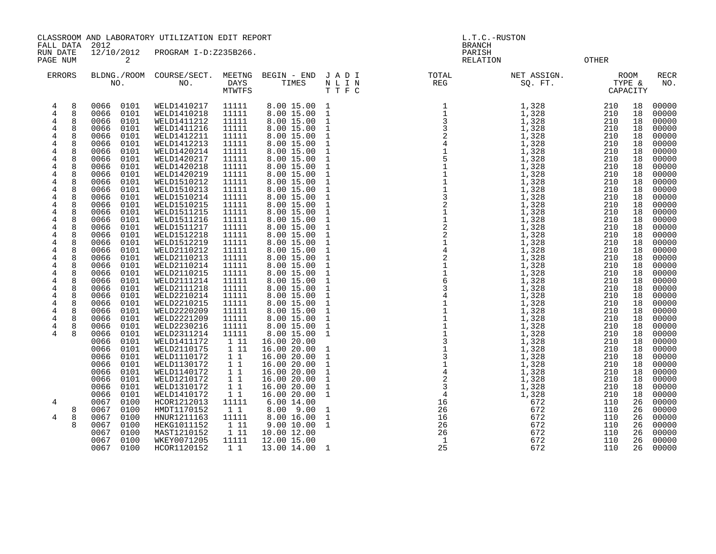CLASSROOM AND LABORATORY UTILIZATION EDIT REPORT AND MODEL ASSESSED A L.T.C.-RUSTON

FALL DATA 2012 BRANCH

RUN DATE 12/10/2012 PROGRAM I-D:Z235B266.<br>PAGE NUM 2<br>PAGE NUM 2

OTHER

| <b>ERRORS</b>                                                                                                                                                                             | BLDNG./ROOM<br>NO.                                                                                                                                                                                                                           | COURSE/SECT.<br>NO.                                                                                                                                                                                                           | MEETNG<br><b>DAYS</b><br><b>MTWTFS</b>                                                                                              | BEGIN - END<br>TIMES                                                                                                                                                                                            | JADI<br>N L I N<br>TTFC                                                                                                                                                                                                      | TOTAL<br>REG                           | NET ASSIGN.<br>SQ. FT.                                                                                                                                 | <b>ROOM</b><br>TYPE &<br>CAPACITY                                                                                                                                                               | <b>RECR</b><br>NO.                                                                                                                  |
|-------------------------------------------------------------------------------------------------------------------------------------------------------------------------------------------|----------------------------------------------------------------------------------------------------------------------------------------------------------------------------------------------------------------------------------------------|-------------------------------------------------------------------------------------------------------------------------------------------------------------------------------------------------------------------------------|-------------------------------------------------------------------------------------------------------------------------------------|-----------------------------------------------------------------------------------------------------------------------------------------------------------------------------------------------------------------|------------------------------------------------------------------------------------------------------------------------------------------------------------------------------------------------------------------------------|----------------------------------------|--------------------------------------------------------------------------------------------------------------------------------------------------------|-------------------------------------------------------------------------------------------------------------------------------------------------------------------------------------------------|-------------------------------------------------------------------------------------------------------------------------------------|
| 8<br>4<br>8<br>4<br>8<br>4<br>8<br>4<br>8<br>4<br>8<br>4<br>4<br>8<br>4<br>8<br>$\overline{4}$<br>8<br>8<br>$\overline{4}$<br>4<br>8<br>8<br>4<br>8<br>4<br>$\overline{4}$<br>8<br>8<br>4 | 0066<br>0101<br>0066<br>0101<br>0066<br>0101<br>0101<br>0066<br>0066<br>0101<br>0101<br>0066<br>0101<br>0066<br>0101<br>0066<br>0101<br>0066<br>0101<br>0066<br>0101<br>0066<br>0101<br>0066<br>0101<br>0066<br>0066<br>0101<br>0101<br>0066 | WELD1410217<br>WELD1410218<br>WELD1411212<br>WELD1411216<br>WELD1412211<br>WELD1412213<br>WELD1420214<br>WELD1420217<br>WELD1420218<br>WELD1420219<br>WELD1510212<br>WELD1510213<br>WELD1510214<br>WELD1510215<br>WELD1511215 | 11111<br>11111<br>11111<br>11111<br>11111<br>11111<br>11111<br>11111<br>11111<br>11111<br>11111<br>11111<br>11111<br>11111<br>11111 | 8.00 15.00 1<br>8.00 15.00<br>8.00 15.00<br>8.00 15.00<br>8.00 15.00<br>8.00 15.00<br>8.0015.00<br>8.00 15.00<br>8.00 15.00<br>8.00 15.00<br>8.00 15.00<br>8.00 15.00<br>8.00 15.00<br>8.00 15.00<br>8.00 15.00 | $\mathbf{1}$<br>$\mathbf{1}$<br>$\mathbf{1}$<br>$\mathbf{1}$<br>$\mathbf{1}$<br>$\mathbf{1}$<br>$\mathbf{1}$<br>$\mathbf{1}$<br>$\mathbf{1}$<br>$\mathbf{1}$<br>$\mathbf{1}$<br>$\mathbf{1}$<br>$\mathbf{1}$<br>$\mathbf{1}$ |                                        | $1,328$<br>$1,328$<br>1,328<br>1,328<br>1,328<br>1,328<br>1,328<br>1,328<br>1,328<br>$\frac{1}{1}$ , 328<br>1, 328<br>1,328<br>1,328<br>1,328<br>1,328 | 210<br>18<br>210<br>18<br>210<br>18<br>210<br>18<br>210<br>18<br>210<br>18<br>210<br>18<br>210<br>18<br>210<br>18<br>210<br>18<br>210<br>18<br>210<br>18<br>210<br>18<br>210<br>18<br>210<br>18 | 00000<br>00000<br>00000<br>00000<br>00000<br>00000<br>00000<br>00000<br>00000<br>00000<br>00000<br>00000<br>00000<br>00000<br>00000 |
| 4<br>8<br>8<br>4<br>8<br>4<br>8<br>4<br>8<br>4<br>8<br>4<br>8<br>4                                                                                                                        | 0066<br>0101<br>0101<br>0066<br>0066<br>0101<br>0101<br>0066<br>0101<br>0066<br>0101<br>0066<br>0066<br>0101                                                                                                                                 | WELD1511216<br>WELD1511217<br>WELD1512218<br>WELD1512219<br>WELD2110212<br>WELD2110213<br>WELD2110214                                                                                                                         | 11111<br>11111<br>11111<br>11111<br>11111<br>11111<br>11111                                                                         | 8.00 15.00<br>8.00 15.00<br>8.00 15.00<br>8.00 15.00<br>8.00 15.00<br>8.00 15.00<br>8.00 15.00                                                                                                                  | $\mathbf{1}$<br><sup>1</sup><br>$\mathbf{1}$<br><sup>1</sup><br>$\mathbf{1}$<br>$\mathbf{1}$<br>$\mathbf{1}$                                                                                                                 |                                        | 1,328<br>1,328<br>1,328<br>1,328<br>1,328<br>1,328<br>1,328                                                                                            | 210<br>18<br>210<br>18<br>210<br>18<br>210<br>18<br>210<br>18<br>210<br>18<br>210<br>18                                                                                                         | 00000<br>00000<br>00000<br>00000<br>00000<br>00000<br>00000                                                                         |
| 8<br>4<br>8<br>4<br>8<br>4<br>8<br>4<br>8<br>4<br>4<br>8<br>8<br>4                                                                                                                        | 0101<br>0066<br>0101<br>0066<br>0101<br>0066<br>0066<br>0101<br>0101<br>0066<br>0101<br>0066<br>0066<br>0101                                                                                                                                 | WELD2110215<br>WELD2111214<br>WELD2111218<br>WELD2210214<br>WELD2210215<br>WELD2220209<br>WELD2221209                                                                                                                         | 11111<br>11111<br>11111<br>11111<br>11111<br>11111<br>11111                                                                         | 8.00 15.00<br>8.00 15.00<br>8.00 15.00<br>8.00 15.00<br>8.00 15.00<br>8.00 15.00<br>8.00 15.00                                                                                                                  | <sup>1</sup><br>$\mathbf{1}$<br><sup>1</sup><br>$\mathbf{1}$<br>$\mathbf{1}$<br>$\mathbf{1}$<br><sup>1</sup>                                                                                                                 |                                        | 1,328<br>1,328<br>1,328<br>1,328<br>1,328<br>1,328<br>1,328                                                                                            | 210<br>18<br>210<br>18<br>210<br>18<br>210<br>18<br>210<br>18<br>210<br>18<br>210<br>18                                                                                                         | 00000<br>00000<br>00000<br>00000<br>00000<br>00000<br>00000                                                                         |
| 4<br>8<br>4                                                                                                                                                                               | 0101<br>0066<br>0066<br>0101<br>0101<br>0066<br>0066<br>0101<br>0066<br>0101<br>0066<br>0101<br>0101<br>0066<br>0066<br>0101<br>0101<br>0066<br>0066<br>0101                                                                                 | WELD2230216<br>WELD2311214<br>WELD1411172<br>WELD2110175<br>WELD1110172<br>WELD1130172<br>WELD1140172<br>WELD1210172<br>WELD1310172<br>WELD1410172                                                                            | 11111<br>11111<br>1 11<br>1 11<br>$1\quad1$<br>11<br>$1\quad1$<br>11<br>$1\quad1$<br>$1\quad1$                                      | 8.00 15.00<br>8.00 15.00<br>16.00 20.00<br>16.00 20.00<br>16.00 20.00<br>16.00 20.00<br>16.00 20.00<br>16.00 20.00<br>16.00 20.00<br>16.00 20.00                                                                | $\mathbf{1}$<br>1<br>1<br>1<br>$\mathbf{1}$<br>$\mathbf{1}$<br>$\mathbf{1}$<br>$\mathbf{1}$<br>$\mathbf{1}$                                                                                                                  |                                        | 1,328<br>1,328<br>1,328<br>1,328<br>1,328<br>1,328<br>1,328<br>1,328<br>1,328<br>1,328                                                                 | 210<br>18<br>210<br>18<br>210<br>18<br>210<br>18<br>210<br>18<br>210<br>18<br>210<br>18<br>210<br>18<br>210<br>18<br>210<br>18                                                                  | 00000<br>00000<br>00000<br>00000<br>00000<br>00000<br>00000<br>00000<br>00000<br>00000                                              |
| 4<br>8<br>4<br>8                                                                                                                                                                          | 0100<br>0067<br>0100<br>0067<br>0067<br>0100<br>0100<br>0067<br>0067<br>0100<br>0067<br>0100<br>0067<br>0100                                                                                                                                 | HCOR1212013<br>HMDT1170152<br>HNUR1211163<br>HEKG1011152<br>MAST1210152<br>WKEY0071205<br>HCOR1120152                                                                                                                         | 11111<br>$1\quad1$<br>11111<br>1 11<br>1 11<br>11111<br>$1\quad1$                                                                   | 6.00 14.00<br>8.00 9.00<br>8.00 16.00<br>9.00 10.00<br>10.00 12.00<br>12.00 15.00<br>13.00 14.00                                                                                                                | 1<br>$\mathbf{1}$<br>1<br>- 1                                                                                                                                                                                                | 16<br>26<br>26<br>$\overline{1}$<br>25 | 672<br>672<br>672<br>672<br>672<br>672<br>672                                                                                                          | 110<br>26<br>110<br>26<br>110<br>26<br>110<br>26<br>110<br>26<br>110<br>26<br>110<br>26                                                                                                         | 00000<br>00000<br>00000<br>00000<br>00000<br>00000<br>00000                                                                         |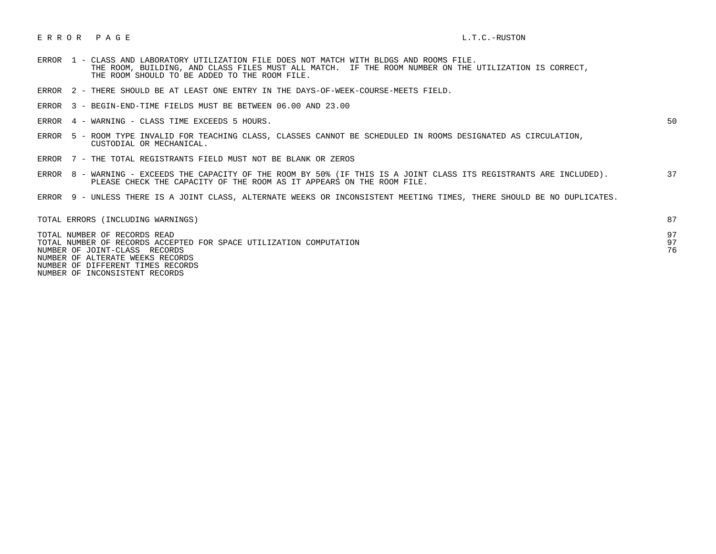## E R R O R P A G E L.T.C.-RUSTON

- ERROR 1 CLASS AND LABORATORY UTILIZATION FILE DOES NOT MATCH WITH BLDGS AND ROOMS FILE. THE ROOM, BUILDING, AND CLASS FILES MUST ALL MATCH. IF THE ROOM NUMBER ON THE UTILIZATION IS CORRECT, THE ROOM SHOULD TO BE ADDED TO THE ROOM FILE.
- ERROR 2 THERE SHOULD BE AT LEAST ONE ENTRY IN THE DAYS-OF-WEEK-COURSE-MEETS FIELD.
- ERROR 3 BEGIN-END-TIME FIELDS MUST BE BETWEEN 06.00 AND 23.00
- ERROR 4 WARNING CLASS TIME EXCEEDS 5 HOURS. 500 SOLUTION CONTROL AND THE SOLUTION OF SOLUTION OF SOLUTION O

- ERROR 5 ROOM TYPE INVALID FOR TEACHING CLASS, CLASSES CANNOT BE SCHEDULED IN ROOMS DESIGNATED AS CIRCULATION, CUSTODIAL OR MECHANICAL.
- ERROR 7 THE TOTAL REGISTRANTS FIELD MUST NOT BE BLANK OR ZEROS
- ERROR 8 WARNING EXCEEDS THE CAPACITY OF THE ROOM BY 50% (IF THIS IS A JOINT CLASS ITS REGISTRANTS ARE INCLUDED). 37 PLEASE CHECK THE CAPACITY OF THE ROOM AS IT APPEARS ON THE ROOM FILE.
- ERROR 9 UNLESS THERE IS A JOINT CLASS, ALTERNATE WEEKS OR INCONSISTENT MEETING TIMES, THERE SHOULD BE NO DUPLICATES.

| TOTAL ERRORS (INCLUDING WARNINGS)                                                                  |    |
|----------------------------------------------------------------------------------------------------|----|
| TOTAL NUMBER OF RECORDS READ<br>TOTAL NUMBER OF RECORDS ACCEPTED FOR SPACE UTILIZATION COMPUTATION | 97 |
| NUMBER OF JOINT-CLASS RECORDS                                                                      | 76 |
| NUMBER OF ALTERATE WEEKS RECORDS                                                                   |    |
| NUMBER OF DIFFERENT TIMES RECORDS                                                                  |    |

NUMBER OF INCONSISTENT RECORDS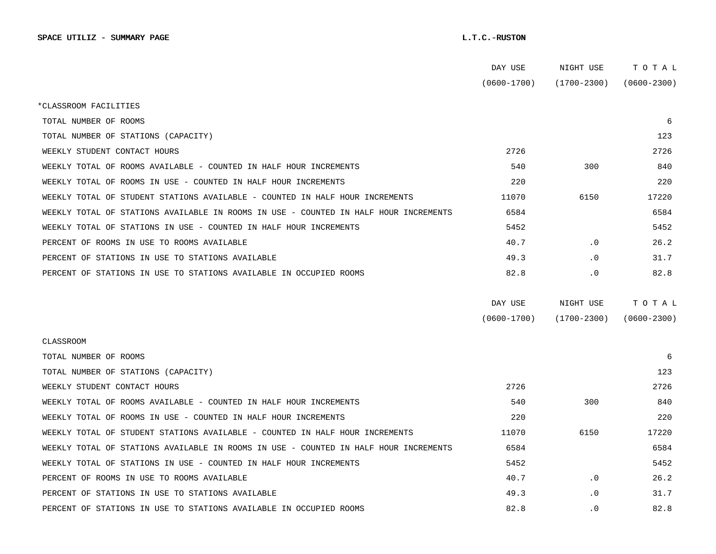|                                                                                      | DAY USE         | NIGHT USE       | тотаь           |  |
|--------------------------------------------------------------------------------------|-----------------|-----------------|-----------------|--|
|                                                                                      | $(0600 - 1700)$ | $(1700 - 2300)$ | $(0600 - 2300)$ |  |
| *CLASSROOM FACILITIES                                                                |                 |                 |                 |  |
| TOTAL NUMBER OF ROOMS                                                                |                 |                 | 6               |  |
| TOTAL NUMBER OF STATIONS (CAPACITY)                                                  |                 |                 | 123             |  |
| WEEKLY STUDENT CONTACT HOURS                                                         | 2726            |                 | 2726            |  |
| WEEKLY TOTAL OF ROOMS AVAILABLE - COUNTED IN HALF HOUR INCREMENTS                    | 540             | 300             | 840             |  |
| WEEKLY TOTAL OF ROOMS IN USE - COUNTED IN HALF HOUR INCREMENTS                       | 220             |                 | 220             |  |
| WEEKLY TOTAL OF STUDENT STATIONS AVAILABLE - COUNTED IN HALF HOUR INCREMENTS         | 11070           | 6150            | 17220           |  |
| WEEKLY TOTAL OF STATIONS AVAILABLE IN ROOMS IN USE - COUNTED IN HALF HOUR INCREMENTS | 6584            |                 | 6584            |  |
| WEEKLY TOTAL OF STATIONS IN USE - COUNTED IN HALF HOUR INCREMENTS                    | 5452            |                 | 5452            |  |
| PERCENT OF ROOMS IN USE TO ROOMS AVAILABLE                                           | 40.7            | $\cdot$ 0       | 26.2            |  |
| PERCENT OF STATIONS IN USE TO STATIONS AVAILABLE                                     | 49.3            | $\cdot$ 0       | 31.7            |  |
| PERCENT OF STATIONS IN USE TO STATIONS AVAILABLE IN OCCUPIED ROOMS                   | 82.8            | $\cdot$ 0       | 82.8            |  |
|                                                                                      |                 |                 |                 |  |
|                                                                                      | DAY USE         | NIGHT USE       | TOTAL           |  |
|                                                                                      | $(0600 - 1700)$ | $(1700 - 2300)$ | $(0600 - 2300)$ |  |
| CLASSROOM                                                                            |                 |                 |                 |  |
| TOTAL NUMBER OF ROOMS                                                                |                 |                 | 6               |  |
| TOTAL NUMBER OF STATIONS (CAPACITY)                                                  |                 |                 | 123             |  |
| WEEKLY STUDENT CONTACT HOURS                                                         | 2726            |                 | 2726            |  |
| WEEKLY TOTAL OF ROOMS AVAILABLE - COUNTED IN HALF HOUR INCREMENTS                    | 540             | 300             | 840             |  |
| WEEKLY TOTAL OF ROOMS IN USE - COUNTED IN HALF HOUR INCREMENTS                       | 220             |                 | 220             |  |
| WEEKLY TOTAL OF STUDENT STATIONS AVAILABLE - COUNTED IN HALF HOUR INCREMENTS         | 11070           | 6150            | 17220           |  |
| WEEKLY TOTAL OF STATIONS AVAILABLE IN ROOMS IN USE - COUNTED IN HALF HOUR INCREMENTS | 6584            |                 | 6584            |  |
| WEEKLY TOTAL OF STATIONS IN USE - COUNTED IN HALF HOUR INCREMENTS                    | 5452            |                 | 5452            |  |
| PERCENT OF ROOMS IN USE TO ROOMS AVAILABLE                                           | 40.7            | . 0             | 26.2            |  |
| PERCENT OF STATIONS IN USE TO STATIONS AVAILABLE                                     | 49.3            | $\cdot$ 0       | 31.7            |  |
| PERCENT OF STATIONS IN USE TO STATIONS AVAILABLE IN OCCUPIED ROOMS                   | 82.8            | $\cdot$ 0       | 82.8            |  |